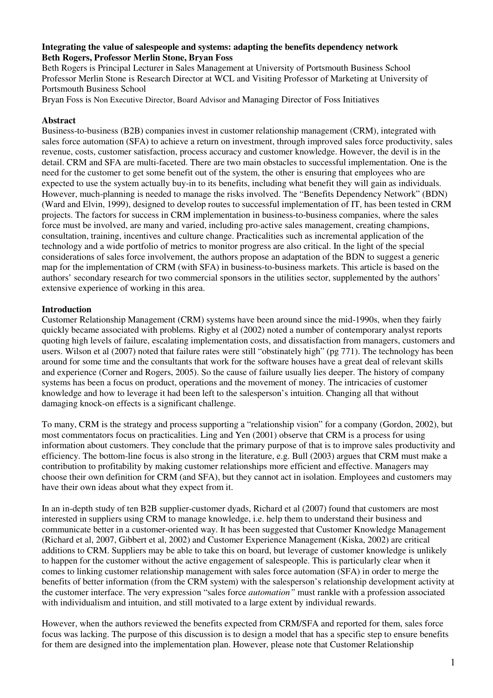### **Integrating the value of salespeople and systems: adapting the benefits dependency network Beth Rogers, Professor Merlin Stone, Bryan Foss**

Beth Rogers is Principal Lecturer in Sales Management at University of Portsmouth Business School Professor Merlin Stone is Research Director at WCL and Visiting Professor of Marketing at University of Portsmouth Business School

Bryan Foss is Non Executive Director, Board Advisor and Managing Director of Foss Initiatives

# **Abstract**

Business-to-business (B2B) companies invest in customer relationship management (CRM), integrated with sales force automation (SFA) to achieve a return on investment, through improved sales force productivity, sales revenue, costs, customer satisfaction, process accuracy and customer knowledge. However, the devil is in the detail. CRM and SFA are multi-faceted. There are two main obstacles to successful implementation. One is the need for the customer to get some benefit out of the system, the other is ensuring that employees who are expected to use the system actually buy-in to its benefits, including what benefit they will gain as individuals. However, much-planning is needed to manage the risks involved. The "Benefits Dependency Network" (BDN) (Ward and Elvin, 1999), designed to develop routes to successful implementation of IT, has been tested in CRM projects. The factors for success in CRM implementation in business-to-business companies, where the sales force must be involved, are many and varied, including pro-active sales management, creating champions, consultation, training, incentives and culture change. Practicalities such as incremental application of the technology and a wide portfolio of metrics to monitor progress are also critical. In the light of the special considerations of sales force involvement, the authors propose an adaptation of the BDN to suggest a generic map for the implementation of CRM (with SFA) in business-to-business markets. This article is based on the authors' secondary research for two commercial sponsors in the utilities sector, supplemented by the authors' extensive experience of working in this area.

### **Introduction**

Customer Relationship Management (CRM) systems have been around since the mid-1990s, when they fairly quickly became associated with problems. Rigby et al (2002) noted a number of contemporary analyst reports quoting high levels of failure, escalating implementation costs, and dissatisfaction from managers, customers and users. Wilson et al (2007) noted that failure rates were still "obstinately high" (pg 771). The technology has been around for some time and the consultants that work for the software houses have a great deal of relevant skills and experience (Corner and Rogers, 2005). So the cause of failure usually lies deeper. The history of company systems has been a focus on product, operations and the movement of money. The intricacies of customer knowledge and how to leverage it had been left to the salesperson's intuition. Changing all that without damaging knock-on effects is a significant challenge.

To many, CRM is the strategy and process supporting a "relationship vision" for a company (Gordon, 2002), but most commentators focus on practicalities. Ling and Yen (2001) observe that CRM is a process for using information about customers. They conclude that the primary purpose of that is to improve sales productivity and efficiency. The bottom-line focus is also strong in the literature, e.g. Bull (2003) argues that CRM must make a contribution to profitability by making customer relationships more efficient and effective. Managers may choose their own definition for CRM (and SFA), but they cannot act in isolation. Employees and customers may have their own ideas about what they expect from it.

In an in-depth study of ten B2B supplier-customer dyads, Richard et al (2007) found that customers are most interested in suppliers using CRM to manage knowledge, i.e. help them to understand their business and communicate better in a customer-oriented way. It has been suggested that Customer Knowledge Management (Richard et al, 2007, Gibbert et al, 2002) and Customer Experience Management (Kiska, 2002) are critical additions to CRM. Suppliers may be able to take this on board, but leverage of customer knowledge is unlikely to happen for the customer without the active engagement of salespeople. This is particularly clear when it comes to linking customer relationship management with sales force automation (SFA) in order to merge the benefits of better information (from the CRM system) with the salesperson's relationship development activity at the customer interface. The very expression "sales force *automation"* must rankle with a profession associated with individualism and intuition, and still motivated to a large extent by individual rewards.

However, when the authors reviewed the benefits expected from CRM/SFA and reported for them, sales force focus was lacking. The purpose of this discussion is to design a model that has a specific step to ensure benefits for them are designed into the implementation plan. However, please note that Customer Relationship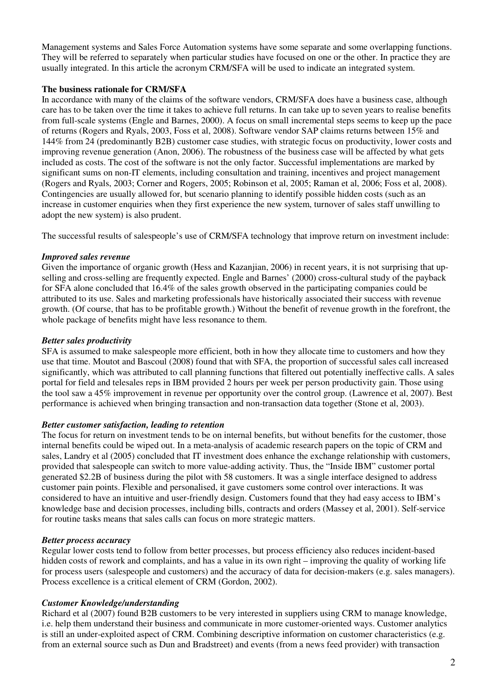Management systems and Sales Force Automation systems have some separate and some overlapping functions. They will be referred to separately when particular studies have focused on one or the other. In practice they are usually integrated. In this article the acronym CRM/SFA will be used to indicate an integrated system.

### **The business rationale for CRM/SFA**

In accordance with many of the claims of the software vendors, CRM/SFA does have a business case, although care has to be taken over the time it takes to achieve full returns. In can take up to seven years to realise benefits from full-scale systems (Engle and Barnes, 2000). A focus on small incremental steps seems to keep up the pace of returns (Rogers and Ryals, 2003, Foss et al, 2008). Software vendor SAP claims returns between 15% and 144% from 24 (predominantly B2B) customer case studies, with strategic focus on productivity, lower costs and improving revenue generation (Anon, 2006). The robustness of the business case will be affected by what gets included as costs. The cost of the software is not the only factor. Successful implementations are marked by significant sums on non-IT elements, including consultation and training, incentives and project management (Rogers and Ryals, 2003; Corner and Rogers, 2005; Robinson et al, 2005; Raman et al, 2006; Foss et al, 2008). Contingencies are usually allowed for, but scenario planning to identify possible hidden costs (such as an increase in customer enquiries when they first experience the new system, turnover of sales staff unwilling to adopt the new system) is also prudent.

The successful results of salespeople's use of CRM/SFA technology that improve return on investment include:

# *Improved sales revenue*

Given the importance of organic growth (Hess and Kazanjian, 2006) in recent years, it is not surprising that upselling and cross-selling are frequently expected. Engle and Barnes' (2000) cross-cultural study of the payback for SFA alone concluded that 16.4% of the sales growth observed in the participating companies could be attributed to its use. Sales and marketing professionals have historically associated their success with revenue growth. (Of course, that has to be profitable growth.) Without the benefit of revenue growth in the forefront, the whole package of benefits might have less resonance to them.

### *Better sales productivity*

SFA is assumed to make salespeople more efficient, both in how they allocate time to customers and how they use that time. Moutot and Bascoul (2008) found that with SFA, the proportion of successful sales call increased significantly, which was attributed to call planning functions that filtered out potentially ineffective calls. A sales portal for field and telesales reps in IBM provided 2 hours per week per person productivity gain. Those using the tool saw a 45% improvement in revenue per opportunity over the control group. (Lawrence et al, 2007). Best performance is achieved when bringing transaction and non-transaction data together (Stone et al, 2003).

### *Better customer satisfaction, leading to retention*

The focus for return on investment tends to be on internal benefits, but without benefits for the customer, those internal benefits could be wiped out. In a meta-analysis of academic research papers on the topic of CRM and sales, Landry et al (2005) concluded that IT investment does enhance the exchange relationship with customers, provided that salespeople can switch to more value-adding activity. Thus, the "Inside IBM" customer portal generated \$2.2B of business during the pilot with 58 customers. It was a single interface designed to address customer pain points. Flexible and personalised, it gave customers some control over interactions. It was considered to have an intuitive and user-friendly design. Customers found that they had easy access to IBM's knowledge base and decision processes, including bills, contracts and orders (Massey et al, 2001). Self-service for routine tasks means that sales calls can focus on more strategic matters.

### *Better process accuracy*

Regular lower costs tend to follow from better processes, but process efficiency also reduces incident-based hidden costs of rework and complaints, and has a value in its own right – improving the quality of working life for process users (salespeople and customers) and the accuracy of data for decision-makers (e.g. sales managers). Process excellence is a critical element of CRM (Gordon, 2002).

# *Customer Knowledge/understanding*

Richard et al (2007) found B2B customers to be very interested in suppliers using CRM to manage knowledge, i.e. help them understand their business and communicate in more customer-oriented ways. Customer analytics is still an under-exploited aspect of CRM. Combining descriptive information on customer characteristics (e.g. from an external source such as Dun and Bradstreet) and events (from a news feed provider) with transaction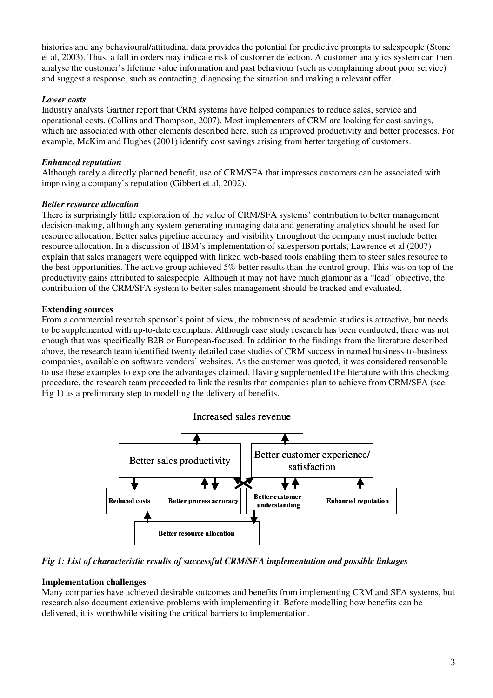histories and any behavioural/attitudinal data provides the potential for predictive prompts to salespeople (Stone et al, 2003). Thus, a fall in orders may indicate risk of customer defection. A customer analytics system can then analyse the customer's lifetime value information and past behaviour (such as complaining about poor service) and suggest a response, such as contacting, diagnosing the situation and making a relevant offer.

# *Lower costs*

Industry analysts Gartner report that CRM systems have helped companies to reduce sales, service and operational costs. (Collins and Thompson, 2007). Most implementers of CRM are looking for cost-savings, which are associated with other elements described here, such as improved productivity and better processes. For example, McKim and Hughes (2001) identify cost savings arising from better targeting of customers.

# *Enhanced reputation*

Although rarely a directly planned benefit, use of CRM/SFA that impresses customers can be associated with improving a company's reputation (Gibbert et al, 2002).

# *Better resource allocation*

There is surprisingly little exploration of the value of CRM/SFA systems' contribution to better management decision-making, although any system generating managing data and generating analytics should be used for resource allocation. Better sales pipeline accuracy and visibility throughout the company must include better resource allocation. In a discussion of IBM's implementation of salesperson portals, Lawrence et al (2007) explain that sales managers were equipped with linked web-based tools enabling them to steer sales resource to the best opportunities. The active group achieved 5% better results than the control group. This was on top of the productivity gains attributed to salespeople. Although it may not have much glamour as a "lead" objective, the contribution of the CRM/SFA system to better sales management should be tracked and evaluated.

# **Extending sources**

From a commercial research sponsor's point of view, the robustness of academic studies is attractive, but needs to be supplemented with up-to-date exemplars. Although case study research has been conducted, there was not enough that was specifically B2B or European-focused. In addition to the findings from the literature described above, the research team identified twenty detailed case studies of CRM success in named business-to-business companies, available on software vendors' websites. As the customer was quoted, it was considered reasonable to use these examples to explore the advantages claimed. Having supplemented the literature with this checking procedure, the research team proceeded to link the results that companies plan to achieve from CRM/SFA (see Fig 1) as a preliminary step to modelling the delivery of benefits.



# *Fig 1: List of characteristic results of successful CRM/SFA implementation and possible linkages*

### **Implementation challenges**

Many companies have achieved desirable outcomes and benefits from implementing CRM and SFA systems, but research also document extensive problems with implementing it. Before modelling how benefits can be delivered, it is worthwhile visiting the critical barriers to implementation.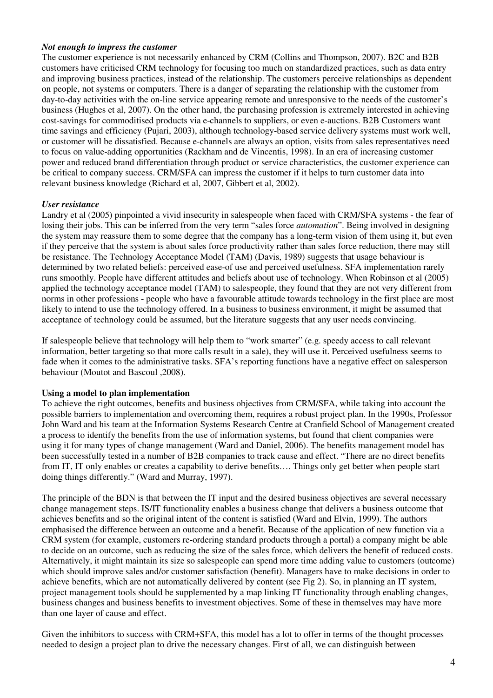#### *Not enough to impress the customer*

The customer experience is not necessarily enhanced by CRM (Collins and Thompson, 2007). B2C and B2B customers have criticised CRM technology for focusing too much on standardized practices, such as data entry and improving business practices, instead of the relationship. The customers perceive relationships as dependent on people, not systems or computers. There is a danger of separating the relationship with the customer from day-to-day activities with the on-line service appearing remote and unresponsive to the needs of the customer's business (Hughes et al, 2007). On the other hand, the purchasing profession is extremely interested in achieving cost-savings for commoditised products via e-channels to suppliers, or even e-auctions. B2B Customers want time savings and efficiency (Pujari, 2003), although technology-based service delivery systems must work well, or customer will be dissatisfied. Because e-channels are always an option, visits from sales representatives need to focus on value-adding opportunities (Rackham and de Vincentis, 1998). In an era of increasing customer power and reduced brand differentiation through product or service characteristics, the customer experience can be critical to company success. CRM/SFA can impress the customer if it helps to turn customer data into relevant business knowledge (Richard et al, 2007, Gibbert et al, 2002).

### *User resistance*

Landry et al (2005) pinpointed a vivid insecurity in salespeople when faced with CRM/SFA systems - the fear of losing their jobs. This can be inferred from the very term "sales force *automation*". Being involved in designing the system may reassure them to some degree that the company has a long-term vision of them using it, but even if they perceive that the system is about sales force productivity rather than sales force reduction, there may still be resistance. The Technology Acceptance Model (TAM) (Davis, 1989) suggests that usage behaviour is determined by two related beliefs: perceived ease-of use and perceived usefulness. SFA implementation rarely runs smoothly. People have different attitudes and beliefs about use of technology. When Robinson et al (2005) applied the technology acceptance model (TAM) to salespeople, they found that they are not very different from norms in other professions - people who have a favourable attitude towards technology in the first place are most likely to intend to use the technology offered. In a business to business environment, it might be assumed that acceptance of technology could be assumed, but the literature suggests that any user needs convincing.

If salespeople believe that technology will help them to "work smarter" (e.g. speedy access to call relevant information, better targeting so that more calls result in a sale), they will use it. Perceived usefulness seems to fade when it comes to the administrative tasks. SFA's reporting functions have a negative effect on salesperson behaviour (Moutot and Bascoul ,2008).

### **Using a model to plan implementation**

To achieve the right outcomes, benefits and business objectives from CRM/SFA, while taking into account the possible barriers to implementation and overcoming them, requires a robust project plan. In the 1990s, Professor John Ward and his team at the Information Systems Research Centre at Cranfield School of Management created a process to identify the benefits from the use of information systems, but found that client companies were using it for many types of change management (Ward and Daniel, 2006). The benefits management model has been successfully tested in a number of B2B companies to track cause and effect. "There are no direct benefits from IT, IT only enables or creates a capability to derive benefits…. Things only get better when people start doing things differently." (Ward and Murray, 1997).

The principle of the BDN is that between the IT input and the desired business objectives are several necessary change management steps. IS/IT functionality enables a business change that delivers a business outcome that achieves benefits and so the original intent of the content is satisfied (Ward and Elvin, 1999). The authors emphasised the difference between an outcome and a benefit. Because of the application of new function via a CRM system (for example, customers re-ordering standard products through a portal) a company might be able to decide on an outcome, such as reducing the size of the sales force, which delivers the benefit of reduced costs. Alternatively, it might maintain its size so salespeople can spend more time adding value to customers (outcome) which should improve sales and/or customer satisfaction (benefit). Managers have to make decisions in order to achieve benefits, which are not automatically delivered by content (see Fig 2). So, in planning an IT system, project management tools should be supplemented by a map linking IT functionality through enabling changes, business changes and business benefits to investment objectives. Some of these in themselves may have more than one layer of cause and effect.

Given the inhibitors to success with CRM+SFA, this model has a lot to offer in terms of the thought processes needed to design a project plan to drive the necessary changes. First of all, we can distinguish between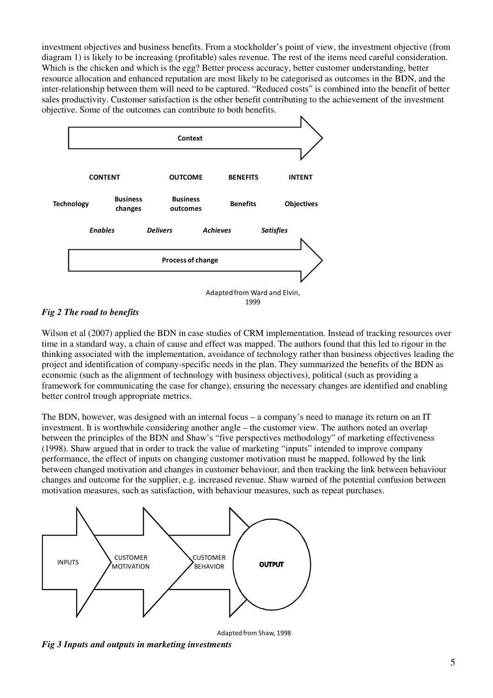investment objectives and business benefits. From a stockholder's point of view, the investment objective (from diagram 1) is likely to be increasing (profitable) sales revenue. The rest of the items need careful consideration. Which is the chicken and which is the egg? Better process accuracy, better customer understanding, better resource allocation and enhanced reputation are most likely to be categorised as outcomes in the BDN, and the inter-relationship between them will need to be captured. "Reduced costs" is combined into the benefit of better sales productivity. Customer satisfaction is the other benefit contributing to the achievement of the investment objective. Some of the outcomes can contribute to both benefits.





Wilson et al (2007) applied the BDN in case studies of CRM implementation. Instead of tracking resources over time in a standard way, a chain of cause and effect was mapped. The authors found that this led to rigour in the thinking associated with the implementation, avoidance of technology rather than business objectives leading the project and identification of company-specific needs in the plan. They summarized the benefits of the BDN as economic (such as the alignment of technology with business objectives), political (such as providing a framework for communicating the case for change), ensuring the necessary changes are identified and enabling better control trough appropriate metrics.

The BDN, however, was designed with an internal focus – a company's need to manage its return on an IT investment. It is worthwhile considering another angle – the customer view. The authors noted an overlap between the principles of the BDN and Shaw's "five perspectives methodology" of marketing effectiveness (1998). Shaw argued that in order to track the value of marketing "inputs" intended to improve company performance, the effect of inputs on changing customer motivation must be mapped, followed by the link between changed motivation and changes in customer behaviour, and then tracking the link between behaviour changes and outcome for the supplier, e.g. increased revenue. Shaw warned of the potential confusion between motivation measures, such as satisfaction, with behaviour measures, such as repeat purchases.



Adapted from Shaw, 1998

*Fig 3 Inputs and outputs in marketing investments*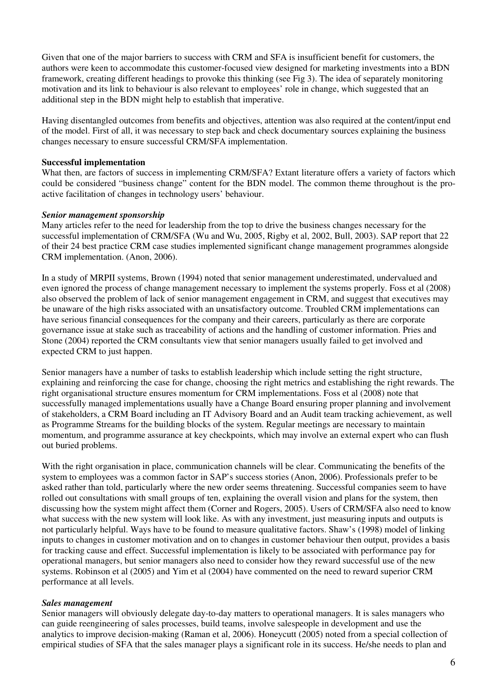Given that one of the major barriers to success with CRM and SFA is insufficient benefit for customers, the authors were keen to accommodate this customer-focused view designed for marketing investments into a BDN framework, creating different headings to provoke this thinking (see Fig 3). The idea of separately monitoring motivation and its link to behaviour is also relevant to employees' role in change, which suggested that an additional step in the BDN might help to establish that imperative.

Having disentangled outcomes from benefits and objectives, attention was also required at the content/input end of the model. First of all, it was necessary to step back and check documentary sources explaining the business changes necessary to ensure successful CRM/SFA implementation.

#### **Successful implementation**

What then, are factors of success in implementing CRM/SFA? Extant literature offers a variety of factors which could be considered "business change" content for the BDN model. The common theme throughout is the proactive facilitation of changes in technology users' behaviour.

#### *Senior management sponsorship*

Many articles refer to the need for leadership from the top to drive the business changes necessary for the successful implementation of CRM/SFA (Wu and Wu, 2005, Rigby et al, 2002, Bull, 2003). SAP report that 22 of their 24 best practice CRM case studies implemented significant change management programmes alongside CRM implementation. (Anon, 2006).

In a study of MRPII systems, Brown (1994) noted that senior management underestimated, undervalued and even ignored the process of change management necessary to implement the systems properly. Foss et al (2008) also observed the problem of lack of senior management engagement in CRM, and suggest that executives may be unaware of the high risks associated with an unsatisfactory outcome. Troubled CRM implementations can have serious financial consequences for the company and their careers, particularly as there are corporate governance issue at stake such as traceability of actions and the handling of customer information. Pries and Stone (2004) reported the CRM consultants view that senior managers usually failed to get involved and expected CRM to just happen.

Senior managers have a number of tasks to establish leadership which include setting the right structure, explaining and reinforcing the case for change, choosing the right metrics and establishing the right rewards. The right organisational structure ensures momentum for CRM implementations. Foss et al (2008) note that successfully managed implementations usually have a Change Board ensuring proper planning and involvement of stakeholders, a CRM Board including an IT Advisory Board and an Audit team tracking achievement, as well as Programme Streams for the building blocks of the system. Regular meetings are necessary to maintain momentum, and programme assurance at key checkpoints, which may involve an external expert who can flush out buried problems.

With the right organisation in place, communication channels will be clear. Communicating the benefits of the system to employees was a common factor in SAP's success stories (Anon, 2006). Professionals prefer to be asked rather than told, particularly where the new order seems threatening. Successful companies seem to have rolled out consultations with small groups of ten, explaining the overall vision and plans for the system, then discussing how the system might affect them (Corner and Rogers, 2005). Users of CRM/SFA also need to know what success with the new system will look like. As with any investment, just measuring inputs and outputs is not particularly helpful. Ways have to be found to measure qualitative factors. Shaw's (1998) model of linking inputs to changes in customer motivation and on to changes in customer behaviour then output, provides a basis for tracking cause and effect. Successful implementation is likely to be associated with performance pay for operational managers, but senior managers also need to consider how they reward successful use of the new systems. Robinson et al (2005) and Yim et al (2004) have commented on the need to reward superior CRM performance at all levels.

#### *Sales management*

Senior managers will obviously delegate day-to-day matters to operational managers. It is sales managers who can guide reengineering of sales processes, build teams, involve salespeople in development and use the analytics to improve decision-making (Raman et al, 2006). Honeycutt (2005) noted from a special collection of empirical studies of SFA that the sales manager plays a significant role in its success. He/she needs to plan and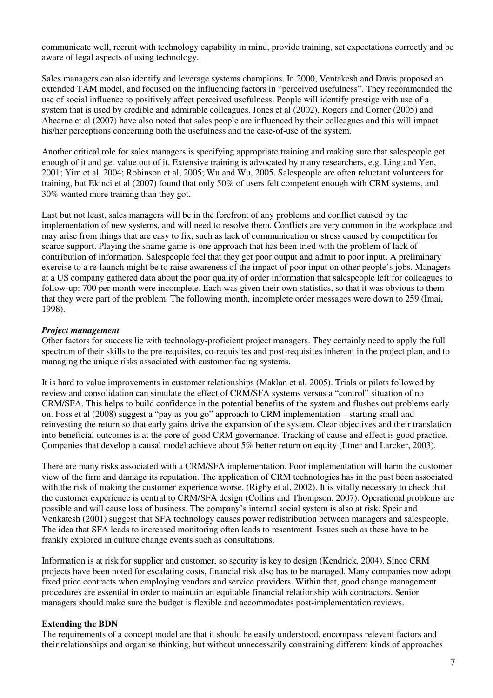communicate well, recruit with technology capability in mind, provide training, set expectations correctly and be aware of legal aspects of using technology.

Sales managers can also identify and leverage systems champions. In 2000, Ventakesh and Davis proposed an extended TAM model, and focused on the influencing factors in "perceived usefulness". They recommended the use of social influence to positively affect perceived usefulness. People will identify prestige with use of a system that is used by credible and admirable colleagues. Jones et al (2002), Rogers and Corner (2005) and Ahearne et al (2007) have also noted that sales people are influenced by their colleagues and this will impact his/her perceptions concerning both the usefulness and the ease-of-use of the system.

Another critical role for sales managers is specifying appropriate training and making sure that salespeople get enough of it and get value out of it. Extensive training is advocated by many researchers, e.g. Ling and Yen, 2001; Yim et al, 2004; Robinson et al, 2005; Wu and Wu, 2005. Salespeople are often reluctant volunteers for training, but Ekinci et al (2007) found that only 50% of users felt competent enough with CRM systems, and 30% wanted more training than they got.

Last but not least, sales managers will be in the forefront of any problems and conflict caused by the implementation of new systems, and will need to resolve them. Conflicts are very common in the workplace and may arise from things that are easy to fix, such as lack of communication or stress caused by competition for scarce support. Playing the shame game is one approach that has been tried with the problem of lack of contribution of information. Salespeople feel that they get poor output and admit to poor input. A preliminary exercise to a re-launch might be to raise awareness of the impact of poor input on other people's jobs. Managers at a US company gathered data about the poor quality of order information that salespeople left for colleagues to follow-up: 700 per month were incomplete. Each was given their own statistics, so that it was obvious to them that they were part of the problem. The following month, incomplete order messages were down to 259 (Imai, 1998).

### *Project management*

Other factors for success lie with technology-proficient project managers. They certainly need to apply the full spectrum of their skills to the pre-requisites, co-requisites and post-requisites inherent in the project plan, and to managing the unique risks associated with customer-facing systems.

It is hard to value improvements in customer relationships (Maklan et al, 2005). Trials or pilots followed by review and consolidation can simulate the effect of CRM/SFA systems versus a "control" situation of no CRM/SFA. This helps to build confidence in the potential benefits of the system and flushes out problems early on. Foss et al (2008) suggest a "pay as you go" approach to CRM implementation – starting small and reinvesting the return so that early gains drive the expansion of the system. Clear objectives and their translation into beneficial outcomes is at the core of good CRM governance. Tracking of cause and effect is good practice. Companies that develop a causal model achieve about 5% better return on equity (Ittner and Larcker, 2003).

There are many risks associated with a CRM/SFA implementation. Poor implementation will harm the customer view of the firm and damage its reputation. The application of CRM technologies has in the past been associated with the risk of making the customer experience worse. (Rigby et al, 2002). It is vitally necessary to check that the customer experience is central to CRM/SFA design (Collins and Thompson, 2007). Operational problems are possible and will cause loss of business. The company's internal social system is also at risk. Speir and Venkatesh (2001) suggest that SFA technology causes power redistribution between managers and salespeople. The idea that SFA leads to increased monitoring often leads to resentment. Issues such as these have to be frankly explored in culture change events such as consultations.

Information is at risk for supplier and customer, so security is key to design (Kendrick, 2004). Since CRM projects have been noted for escalating costs, financial risk also has to be managed. Many companies now adopt fixed price contracts when employing vendors and service providers. Within that, good change management procedures are essential in order to maintain an equitable financial relationship with contractors. Senior managers should make sure the budget is flexible and accommodates post-implementation reviews.

# **Extending the BDN**

The requirements of a concept model are that it should be easily understood, encompass relevant factors and their relationships and organise thinking, but without unnecessarily constraining different kinds of approaches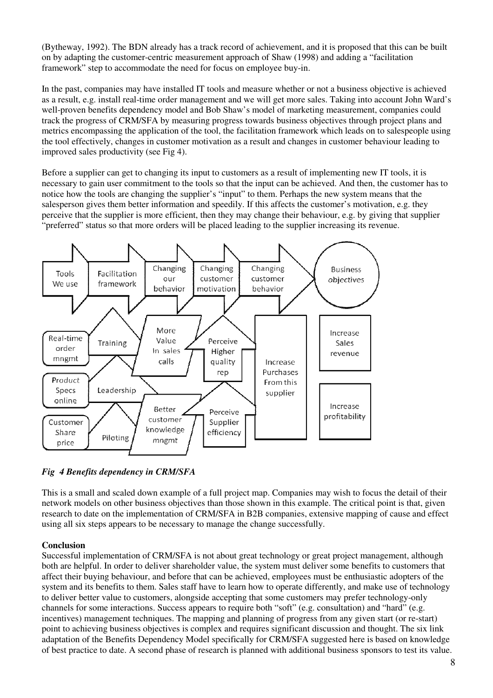(Bytheway, 1992). The BDN already has a track record of achievement, and it is proposed that this can be built on by adapting the customer-centric measurement approach of Shaw (1998) and adding a "facilitation framework" step to accommodate the need for focus on employee buy-in.

In the past, companies may have installed IT tools and measure whether or not a business objective is achieved as a result, e.g. install real-time order management and we will get more sales. Taking into account John Ward's well-proven benefits dependency model and Bob Shaw's model of marketing measurement, companies could track the progress of CRM/SFA by measuring progress towards business objectives through project plans and metrics encompassing the application of the tool, the facilitation framework which leads on to salespeople using the tool effectively, changes in customer motivation as a result and changes in customer behaviour leading to improved sales productivity (see Fig 4).

Before a supplier can get to changing its input to customers as a result of implementing new IT tools, it is necessary to gain user commitment to the tools so that the input can be achieved. And then, the customer has to notice how the tools are changing the supplier's "input" to them. Perhaps the new system means that the salesperson gives them better information and speedily. If this affects the customer's motivation, e.g. they perceive that the supplier is more efficient, then they may change their behaviour, e.g. by giving that supplier "preferred" status so that more orders will be placed leading to the supplier increasing its revenue.



*Fig 4 Benefits dependency in CRM/SFA* 

This is a small and scaled down example of a full project map. Companies may wish to focus the detail of their network models on other business objectives than those shown in this example. The critical point is that, given research to date on the implementation of CRM/SFA in B2B companies, extensive mapping of cause and effect using all six steps appears to be necessary to manage the change successfully.

# **Conclusion**

Successful implementation of CRM/SFA is not about great technology or great project management, although both are helpful. In order to deliver shareholder value, the system must deliver some benefits to customers that affect their buying behaviour, and before that can be achieved, employees must be enthusiastic adopters of the system and its benefits to them. Sales staff have to learn how to operate differently, and make use of technology to deliver better value to customers, alongside accepting that some customers may prefer technology-only channels for some interactions. Success appears to require both "soft" (e.g. consultation) and "hard" (e.g. incentives) management techniques. The mapping and planning of progress from any given start (or re-start) point to achieving business objectives is complex and requires significant discussion and thought. The six link adaptation of the Benefits Dependency Model specifically for CRM/SFA suggested here is based on knowledge of best practice to date. A second phase of research is planned with additional business sponsors to test its value.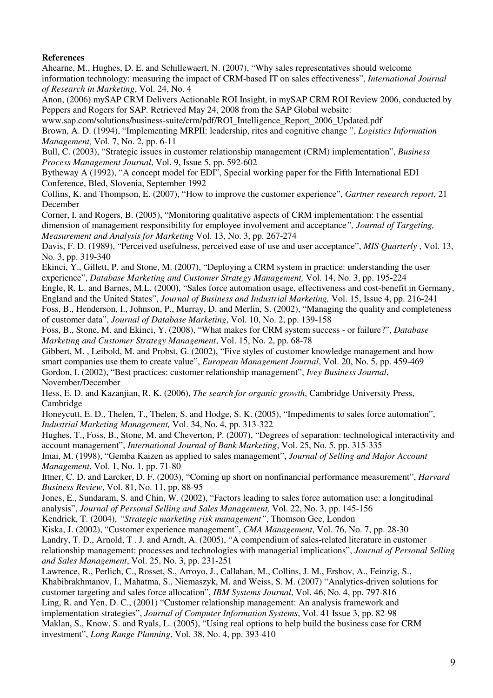# **References**

Ahearne, M., Hughes, D. E. and Schillewaert, N. (2007), "Why sales representatives should welcome information technology: measuring the impact of CRM-based IT on sales effectiveness", *International Journal of Research in Marketing*, Vol. 24, No. 4

Anon, (2006) mySAP CRM Delivers Actionable ROI Insight, in mySAP CRM ROI Review 2006, conducted by Peppers and Rogers for SAP. Retrieved May 24, 2008 from the SAP Global website:

www.sap.com/solutions/business-suite/crm/pdf/ROI\_Intelligence\_Report\_2006\_Updated.pdf Brown, A. D. (1994), "Implementing MRPII: leadership, rites and cognitive change ", *Logistics Information Management,* Vol. 7, No. 2, pp. 6-11

Bull, C. (2003), "Strategic issues in customer relationship management (CRM) implementation", *Business Process Management Journal*, Vol. 9, Issue 5, pp. 592-602

Bytheway A (1992), "A concept model for EDI", Special working paper for the Fifth International EDI Conference, Bled, Slovenia, September 1992

Collins, K. and Thompson, E. (2007), "How to improve the customer experience", *Gartner research report*, 21 December

Corner, I. and Rogers, B. (2005), "Monitoring qualitative aspects of CRM implementation: t he essential dimension of management responsibility for employee involvement and acceptance*", Journal of Targeting, Measurement and Analysis for Marketing* Vol. 13, No. 3, pp. 267-274

Davis, F. D. (1989), "Perceived usefulness, perceived ease of use and user acceptance", *MIS Quarterly* , Vol. 13, No. 3, pp. 319-340

Ekinci, Y., Gillett, P. and Stone, M. (2007), "Deploying a CRM system in practice: understanding the user experience", *Database Marketing and Customer Strategy Management,* Vol. 14, No. 3, pp. 195-224

Engle, R. L. and Barnes, M.L. (2000), "Sales force automation usage, effectiveness and cost-benefit in Germany, England and the United States", *Journal of Business and Industrial Marketing,* Vol. 15, Issue 4, pp. 216-241

Foss, B., Henderson, I., Johnson, P., Murray, D. and Merlin, S. (2002), "Managing the quality and completeness of customer data", *Journal of Database Marketing*, Vol. 10, No. 2, pp. 139-158

Foss, B., Stone, M. and Ekinci, Y. (2008), "What makes for CRM system success - or failure?", *Database Marketing and Customer Strategy Management*, Vol. 15, No. 2, pp. 68-78

Gibbert, M. , Leibold, M. and Probst, G. (2002), "Five styles of customer knowledge management and how smart companies use them to create value", *European Management Journal*, Vol. 20, No. 5, pp. 459-469 Gordon, I. (2002), "Best practices: customer relationship management", *Ivey Business Journal*, November/December

Hess, E. D. and Kazanjian, R. K. (2006), *The search for organic growth*, Cambridge University Press, Cambridge

Honeycutt, E. D., Thelen, T., Thelen, S. and Hodge, S. K. (2005), "Impediments to sales force automation", *Industrial Marketing Management,* Vol. 34, No. 4, pp. 313-322

Hughes, T., Foss, B., Stone, M. and Cheverton, P. (2007), "Degrees of separation: technological interactivity and account management", *International Journal of Bank Marketing*, Vol. 25, No. 5, pp. 315-335

Imai, M. (1998), "Gemba Kaizen as applied to sales management", *Journal of Selling and Major Account Management*, Vol. 1, No. 1, pp. 71-80

Ittner, C. D. and Larcker, D. F. (2003), "Coming up short on nonfinancial performance measurement", *Harvard Business Review*, Vol. 81, No. 11, pp. 88-95

Jones, E., Sundaram, S. and Chin, W. (2002), "Factors leading to sales force automation use: a longitudinal analysis", *Journal of Personal Selling and Sales Management,* Vol. 22, No. 3, pp. 145-156

Kendrick, T. (2004), *"Strategic marketing risk management"*, Thomson Gee, London

Kiska, J. (2002), "Customer experience management", *CMA Management*, Vol. 76, No. 7, pp. 28-30

Landry, T. D., Arnold, T . J. and Arndt, A. (2005), "A compendium of sales-related literature in customer relationship management: processes and technologies with managerial implications", *Journal of Personal Selling and Sales Management*, Vol. 25, No. 3, pp. 231-251

Lawrence, R., Perlich, C., Rosset, S., Arroyo, J., Callahan, M., Collins, J. M., Ershov, A., Feinzig, S., Khabibrakhmanov, I., Mahatma, S., Niemaszyk, M. and Weiss, S. M. (2007) "Analytics-driven solutions for customer targeting and sales force allocation", *IBM Systems Journal*, Vol. 46, No. 4, pp. 797-816 Ling, R. and Yen, D. C., (2001) "Customer relationship management: An analysis framework and implementation strategies", *Journal of Computer Information Systems*, Vol. 41 Issue 3, pp. 82-98 Maklan, S., Know, S. and Ryals, L. (2005), "Using real options to help build the business case for CRM investment", *Long Range Planning*, Vol. 38, No. 4, pp. 393-410